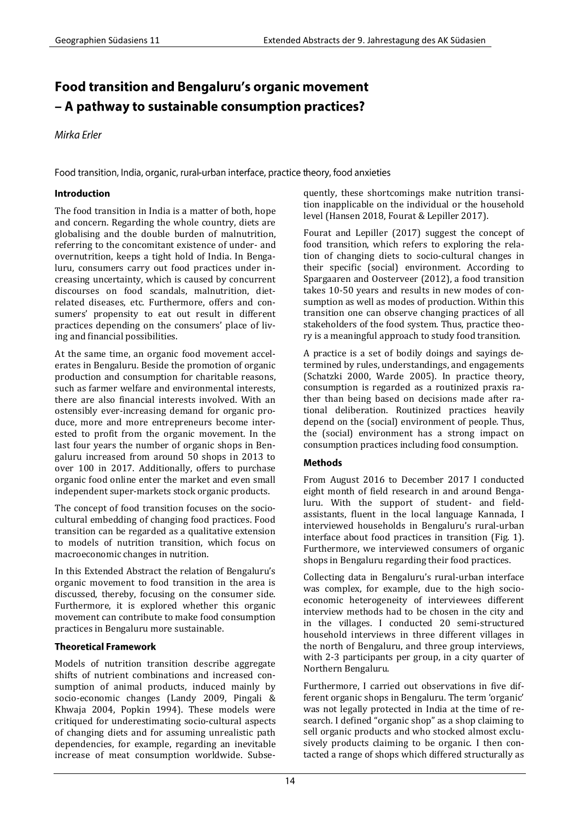# **Food transition and Bengaluru's organic movement** - A pathway to sustainable consumption practices?

Mirka Erler

Food transition, India, organic, rural-urban interface, practice theory, food anxieties

# Introduction

The food transition in India is a matter of both, hope and concern. Regarding the whole country, diets are globalising and the double burden of malnutrition, referring to the concomitant existence of under- and overnutrition, keeps a tight hold of India. In Bengaluru, consumers carry out food practices under increasing uncertainty, which is caused by concurrent discourses on food scandals, malnutrition, dietrelated diseases, etc. Furthermore, offers and consumers' propensity to eat out result in different practices depending on the consumers' place of living and financial possibilities.

At the same time, an organic food movement accelerates in Bengaluru. Beside the promotion of organic production and consumption for charitable reasons, such as farmer welfare and environmental interests, there are also financial interests involved. With an ostensibly ever-increasing demand for organic produce, more and more entrepreneurs become interested to profit from the organic movement. In the last four years the number of organic shops in Bengaluru increased from around 50 shops in 2013 to over 100 in 2017. Additionally, offers to purchase organic food online enter the market and even small independent super-markets stock organic products.

The concept of food transition focuses on the sociocultural embedding of changing food practices. Food transition can be regarded as a qualitative extension to models of nutrition transition, which focus on macroeconomic changes in nutrition.

In this Extended Abstract the relation of Bengaluru's organic movement to food transition in the area is discussed, thereby, focusing on the consumer side. Furthermore, it is explored whether this organic movement can contribute to make food consumption practices in Bengaluru more sustainable.

## **Theoretical Framework**

Models of nutrition transition describe aggregate shifts of nutrient combinations and increased consumption of animal products, induced mainly by socio-economic changes (Landy 2009, Pingali & Khwaja 2004, Popkin 1994). These models were critiqued for underestimating socio-cultural aspects of changing diets and for assuming unrealistic path dependencies, for example, regarding an inevitable increase of meat consumption worldwide. Subsequently, these shortcomings make nutrition transition inapplicable on the individual or the household level (Hansen 2018, Fourat & Lepiller 2017).

Fourat and Lepiller (2017) suggest the concept of food transition, which refers to exploring the relation of changing diets to socio-cultural changes in their specific (social) environment. According to Spargaaren and Oosterveer (2012), a food transition takes 10-50 years and results in new modes of consumption as well as modes of production. Within this transition one can observe changing practices of all stakeholders of the food system. Thus, practice theory is a meaningful approach to study food transition.

A practice is a set of bodily doings and sayings determined by rules, understandings, and engagements (Schatzki 2000, Warde 2005). In practice theory, consumption is regarded as a routinized praxis rather than being based on decisions made after rational deliberation. Routinized practices heavily depend on the (social) environment of people. Thus, the (social) environment has a strong impact on consumption practices including food consumption.

## **Methods**

From August 2016 to December 2017 I conducted eight month of field research in and around Bengaluru. With the support of student- and fieldassistants, fluent in the local language Kannada, I interviewed households in Bengaluru's rural-urban interface about food practices in transition (Fig. 1). Furthermore, we interviewed consumers of organic shops in Bengaluru regarding their food practices.

Collecting data in Bengaluru's rural-urban interface was complex, for example, due to the high socioeconomic heterogeneity of interviewees different interview methods had to be chosen in the city and in the villages. I conducted 20 semi-structured household interviews in three different villages in the north of Bengaluru, and three group interviews, with 2-3 participants per group, in a city quarter of Northern Bengaluru.

Furthermore, I carried out observations in five different organic shops in Bengaluru. The term 'organic' was not legally protected in India at the time of research. I defined "organic shop" as a shop claiming to sell organic products and who stocked almost exclusively products claiming to be organic. I then contacted a range of shops which differed structurally as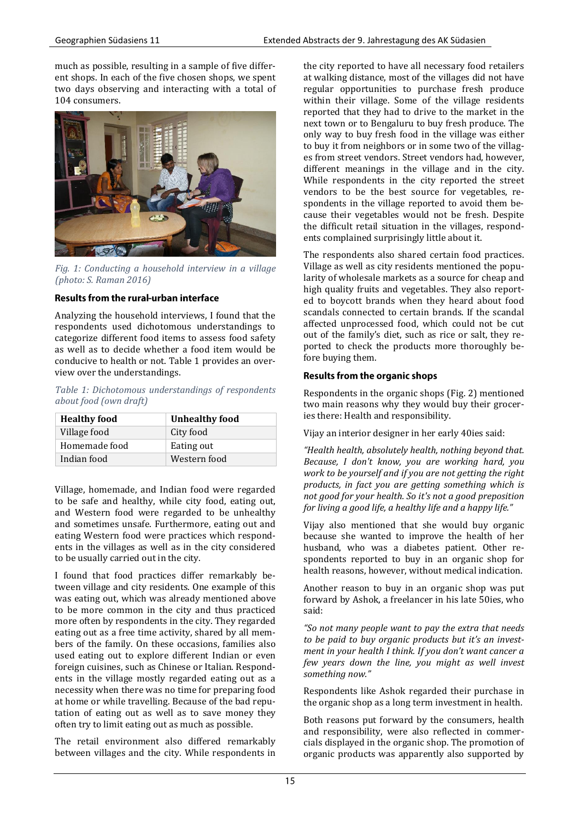much as possible, resulting in a sample of five different shops. In each of the five chosen shops, we spent two days observing and interacting with a total of 104 consumers.



*Fig. 1: Conducting a household interview in a village (photo: S. Raman 2016)*

## Results from the rural-urban interface

Analyzing the household interviews, I found that the respondents used dichotomous understandings to categorize different food items to assess food safety as well as to decide whether a food item would be conducive to health or not. Table 1 provides an overview over the understandings.

*Table 1: Dichotomous understandings of respondents about food (own draft)*

| <b>Healthy food</b> | <b>Unhealthy food</b> |
|---------------------|-----------------------|
| Village food        | City food             |
| Homemade food       | Eating out            |
| Indian food         | Western food          |

Village, homemade, and Indian food were regarded to be safe and healthy, while city food, eating out, and Western food were regarded to be unhealthy and sometimes unsafe. Furthermore, eating out and eating Western food were practices which respondents in the villages as well as in the city considered to be usually carried out in the city.

I found that food practices differ remarkably between village and city residents. One example of this was eating out, which was already mentioned above to be more common in the city and thus practiced more often by respondents in the city. They regarded eating out as a free time activity, shared by all members of the family. On these occasions, families also used eating out to explore different Indian or even foreign cuisines, such as Chinese or Italian. Respondents in the village mostly regarded eating out as a necessity when there was no time for preparing food at home or while travelling. Because of the bad reputation of eating out as well as to save money they often try to limit eating out as much as possible.

The retail environment also differed remarkably between villages and the city. While respondents in the city reported to have all necessary food retailers at walking distance, most of the villages did not have regular opportunities to purchase fresh produce within their village. Some of the village residents reported that they had to drive to the market in the next town or to Bengaluru to buy fresh produce. The only way to buy fresh food in the village was either to buy it from neighbors or in some two of the villages from street vendors. Street vendors had, however, different meanings in the village and in the city. While respondents in the city reported the street vendors to be the best source for vegetables, respondents in the village reported to avoid them because their vegetables would not be fresh. Despite the difficult retail situation in the villages, respondents complained surprisingly little about it.

The respondents also shared certain food practices. Village as well as city residents mentioned the popularity of wholesale markets as a source for cheap and high quality fruits and vegetables. They also reported to boycott brands when they heard about food scandals connected to certain brands. If the scandal affected unprocessed food, which could not be cut out of the family's diet, such as rice or salt, they reported to check the products more thoroughly before buying them.

## **Results from the organic shops**

Respondents in the organic shops (Fig. 2) mentioned two main reasons why they would buy their groceries there: Health and responsibility.

Vijay an interior designer in her early 40ies said:

*"Health health, absolutely health, nothing beyond that. Because, I don't know, you are working hard, you work to be yourself and if you are not getting the right products, in fact you are getting something which is not good for your health. So it's not a good preposition for living a good life, a healthy life and a happy life."*

Vijay also mentioned that she would buy organic because she wanted to improve the health of her husband, who was a diabetes patient. Other respondents reported to buy in an organic shop for health reasons, however, without medical indication.

Another reason to buy in an organic shop was put forward by Ashok, a freelancer in his late 50ies, who said:

*"So not many people want to pay the extra that needs to be paid to buy organic products but it's an investment in your health I think. If you don't want cancer a few years down the line, you might as well invest something now."*

Respondents like Ashok regarded their purchase in the organic shop as a long term investment in health.

Both reasons put forward by the consumers, health and responsibility, were also reflected in commercials displayed in the organic shop. The promotion of organic products was apparently also supported by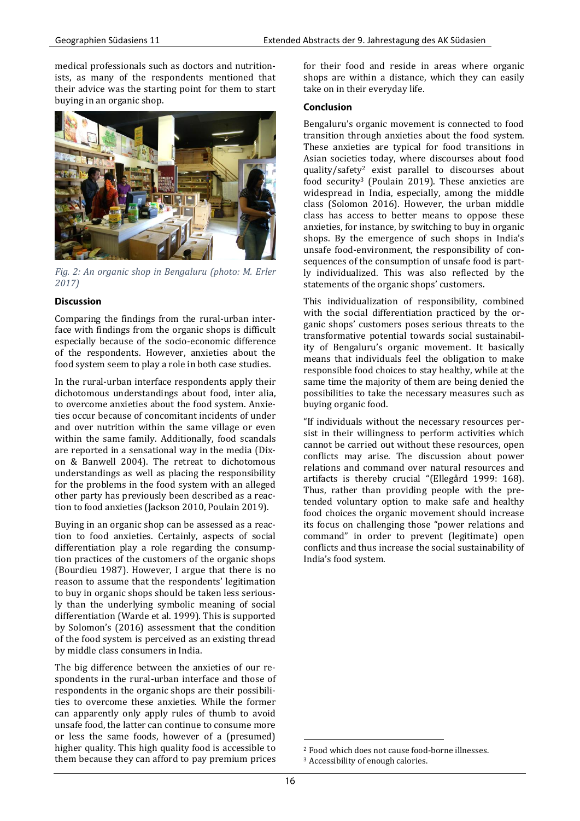medical professionals such as doctors and nutritionists, as many of the respondents mentioned that their advice was the starting point for them to start buying in an organic shop.



*Fig. 2: An organic shop in Bengaluru (photo: M. Erler 2017)*

## **Discussion**

Comparing the findings from the rural-urban interface with findings from the organic shops is difficult especially because of the socio-economic difference of the respondents. However, anxieties about the food system seem to play a role in both case studies.

In the rural-urban interface respondents apply their dichotomous understandings about food, inter alia, to overcome anxieties about the food system. Anxieties occur because of concomitant incidents of under and over nutrition within the same village or even within the same family. Additionally, food scandals are reported in a sensational way in the media (Dixon & Banwell 2004). The retreat to dichotomous understandings as well as placing the responsibility for the problems in the food system with an alleged other party has previously been described as a reaction to food anxieties (Jackson 2010, Poulain 2019).

Buying in an organic shop can be assessed as a reaction to food anxieties. Certainly, aspects of social differentiation play a role regarding the consumption practices of the customers of the organic shops (Bourdieu 1987). However, I argue that there is no reason to assume that the respondents' legitimation to buy in organic shops should be taken less seriously than the underlying symbolic meaning of social differentiation (Warde et al. 1999). This is supported by Solomon's (2016) assessment that the condition of the food system is perceived as an existing thread by middle class consumers in India.

The big difference between the anxieties of our respondents in the rural-urban interface and those of respondents in the organic shops are their possibilities to overcome these anxieties. While the former can apparently only apply rules of thumb to avoid unsafe food, the latter can continue to consume more or less the same foods, however of a (presumed) higher quality. This high quality food is accessible to them because they can afford to pay premium prices for their food and reside in areas where organic shops are within a distance, which they can easily take on in their everyday life.

#### **Conclusion**

Bengaluru's organic movement is connected to food transition through anxieties about the food system. These anxieties are typical for food transitions in Asian societies today, where discourses about food quality/safety<sup>2</sup> exist parallel to discourses about food security<sup>3</sup> (Poulain 2019). These anxieties are widespread in India, especially, among the middle class (Solomon 2016). However, the urban middle class has access to better means to oppose these anxieties, for instance, by switching to buy in organic shops. By the emergence of such shops in India's unsafe food-environment, the responsibility of consequences of the consumption of unsafe food is partly individualized. This was also reflected by the statements of the organic shops' customers.

This individualization of responsibility, combined with the social differentiation practiced by the organic shops' customers poses serious threats to the transformative potential towards social sustainability of Bengaluru's organic movement. It basically means that individuals feel the obligation to make responsible food choices to stay healthy, while at the same time the majority of them are being denied the possibilities to take the necessary measures such as buying organic food.

"If individuals without the necessary resources persist in their willingness to perform activities which cannot be carried out without these resources, open conflicts may arise. The discussion about power relations and command over natural resources and artifacts is thereby crucial "(Ellegård 1999: 168). Thus, rather than providing people with the pretended voluntary option to make safe and healthy food choices the organic movement should increase its focus on challenging those "power relations and command" in order to prevent (legitimate) open conflicts and thus increase the social sustainability of India's food system.

**<sup>.</sup>** <sup>2</sup> Food which does not cause food-borne illnesses. <sup>3</sup> Accessibility of enough calories.